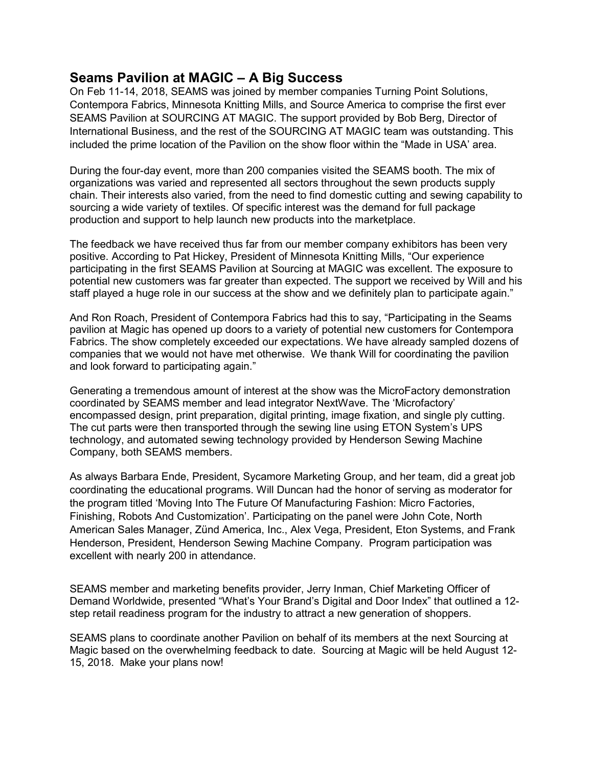## Seams Pavilion at MAGIC – A Big Success

On Feb 11-14, 2018, SEAMS was joined by member companies Turning Point Solutions, Contempora Fabrics, Minnesota Knitting Mills, and Source America to comprise the first ever SEAMS Pavilion at SOURCING AT MAGIC. The support provided by Bob Berg, Director of International Business, and the rest of the SOURCING AT MAGIC team was outstanding. This included the prime location of the Pavilion on the show floor within the "Made in USA' area.

During the four-day event, more than 200 companies visited the SEAMS booth. The mix of organizations was varied and represented all sectors throughout the sewn products supply chain. Their interests also varied, from the need to find domestic cutting and sewing capability to sourcing a wide variety of textiles. Of specific interest was the demand for full package production and support to help launch new products into the marketplace.

The feedback we have received thus far from our member company exhibitors has been very positive. According to Pat Hickey, President of Minnesota Knitting Mills, "Our experience participating in the first SEAMS Pavilion at Sourcing at MAGIC was excellent. The exposure to potential new customers was far greater than expected. The support we received by Will and his staff played a huge role in our success at the show and we definitely plan to participate again."

And Ron Roach, President of Contempora Fabrics had this to say, "Participating in the Seams pavilion at Magic has opened up doors to a variety of potential new customers for Contempora Fabrics. The show completely exceeded our expectations. We have already sampled dozens of companies that we would not have met otherwise. We thank Will for coordinating the pavilion and look forward to participating again."

Generating a tremendous amount of interest at the show was the MicroFactory demonstration coordinated by SEAMS member and lead integrator NextWave. The 'Microfactory' encompassed design, print preparation, digital printing, image fixation, and single ply cutting. The cut parts were then transported through the sewing line using ETON System's UPS technology, and automated sewing technology provided by Henderson Sewing Machine Company, both SEAMS members.

As always Barbara Ende, President, Sycamore Marketing Group, and her team, did a great job coordinating the educational programs. Will Duncan had the honor of serving as moderator for the program titled 'Moving Into The Future Of Manufacturing Fashion: Micro Factories, Finishing, Robots And Customization'. Participating on the panel were John Cote, North American Sales Manager, Zünd America, Inc., Alex Vega, President, Eton Systems, and Frank Henderson, President, Henderson Sewing Machine Company. Program participation was excellent with nearly 200 in attendance.

SEAMS member and marketing benefits provider, Jerry Inman, Chief Marketing Officer of Demand Worldwide, presented "What's Your Brand's Digital and Door Index" that outlined a 12 step retail readiness program for the industry to attract a new generation of shoppers.

SEAMS plans to coordinate another Pavilion on behalf of its members at the next Sourcing at Magic based on the overwhelming feedback to date. Sourcing at Magic will be held August 12- 15, 2018. Make your plans now!